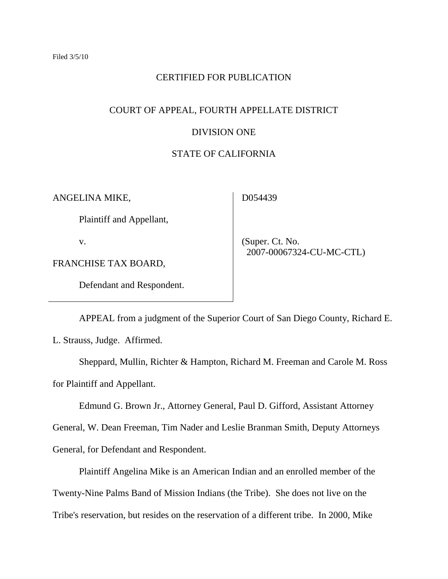#### CERTIFIED FOR PUBLICATION

#### COURT OF APPEAL, FOURTH APPELLATE DISTRICT

#### DIVISION ONE

### STATE OF CALIFORNIA

ANGELINA MIKE,

D054439

Plaintiff and Appellant,

v.

FRANCHISE TAX BOARD,

Defendant and Respondent.

 (Super. Ct. No. 2007-00067324-CU-MC-CTL)

APPEAL from a judgment of the Superior Court of San Diego County, Richard E. L. Strauss, Judge. Affirmed.

Sheppard, Mullin, Richter & Hampton, Richard M. Freeman and Carole M. Ross for Plaintiff and Appellant.

Edmund G. Brown Jr., Attorney General, Paul D. Gifford, Assistant Attorney

General, W. Dean Freeman, Tim Nader and Leslie Branman Smith, Deputy Attorneys

General, for Defendant and Respondent.

Plaintiff Angelina Mike is an American Indian and an enrolled member of the

Twenty-Nine Palms Band of Mission Indians (the Tribe). She does not live on the

Tribe's reservation, but resides on the reservation of a different tribe. In 2000, Mike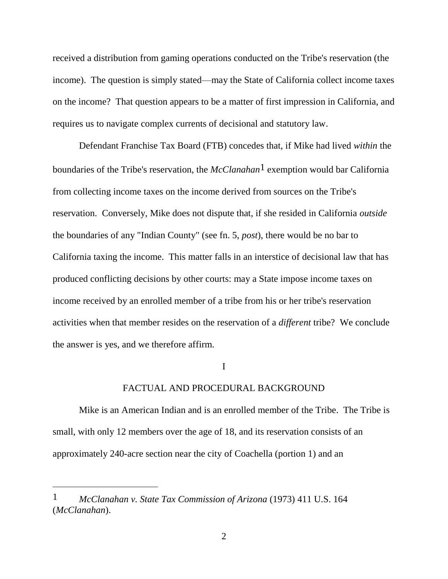received a distribution from gaming operations conducted on the Tribe's reservation (the income). The question is simply stated—may the State of California collect income taxes on the income? That question appears to be a matter of first impression in California, and requires us to navigate complex currents of decisional and statutory law.

Defendant Franchise Tax Board (FTB) concedes that, if Mike had lived *within* the boundaries of the Tribe's reservation, the *McClanahan*1 exemption would bar California from collecting income taxes on the income derived from sources on the Tribe's reservation. Conversely, Mike does not dispute that, if she resided in California *outside* the boundaries of any "Indian County" (see fn. 5, *post*), there would be no bar to California taxing the income. This matter falls in an interstice of decisional law that has produced conflicting decisions by other courts: may a State impose income taxes on income received by an enrolled member of a tribe from his or her tribe's reservation activities when that member resides on the reservation of a *different* tribe? We conclude the answer is yes, and we therefore affirm.

#### I

#### FACTUAL AND PROCEDURAL BACKGROUND

Mike is an American Indian and is an enrolled member of the Tribe. The Tribe is small, with only 12 members over the age of 18, and its reservation consists of an approximately 240-acre section near the city of Coachella (portion 1) and an

<sup>1</sup> *McClanahan v. State Tax Commission of Arizona* (1973) 411 U.S. 164 (*McClanahan*).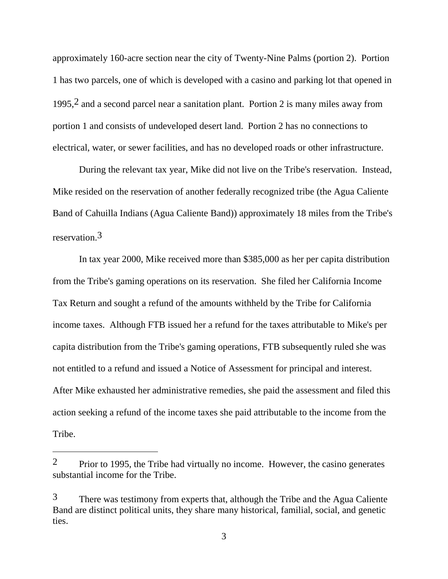approximately 160-acre section near the city of Twenty-Nine Palms (portion 2). Portion 1 has two parcels, one of which is developed with a casino and parking lot that opened in 1995,2 and a second parcel near a sanitation plant. Portion 2 is many miles away from portion 1 and consists of undeveloped desert land. Portion 2 has no connections to electrical, water, or sewer facilities, and has no developed roads or other infrastructure.

During the relevant tax year, Mike did not live on the Tribe's reservation. Instead, Mike resided on the reservation of another federally recognized tribe (the Agua Caliente Band of Cahuilla Indians (Agua Caliente Band)) approximately 18 miles from the Tribe's reservation.3

In tax year 2000, Mike received more than \$385,000 as her per capita distribution from the Tribe's gaming operations on its reservation. She filed her California Income Tax Return and sought a refund of the amounts withheld by the Tribe for California income taxes. Although FTB issued her a refund for the taxes attributable to Mike's per capita distribution from the Tribe's gaming operations, FTB subsequently ruled she was not entitled to a refund and issued a Notice of Assessment for principal and interest. After Mike exhausted her administrative remedies, she paid the assessment and filed this action seeking a refund of the income taxes she paid attributable to the income from the Tribe.

 $2$  Prior to 1995, the Tribe had virtually no income. However, the casino generates substantial income for the Tribe.

<sup>3</sup> There was testimony from experts that, although the Tribe and the Agua Caliente Band are distinct political units, they share many historical, familial, social, and genetic ties.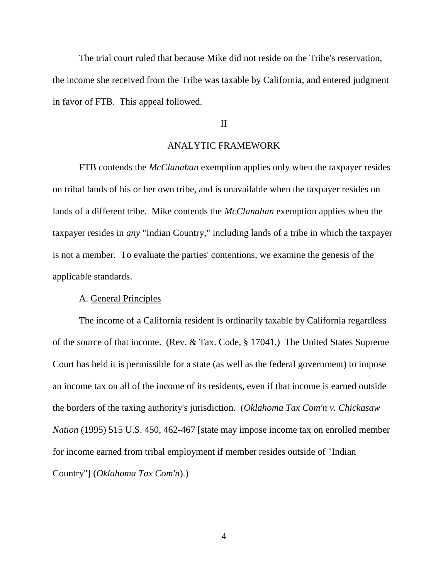The trial court ruled that because Mike did not reside on the Tribe's reservation, the income she received from the Tribe was taxable by California, and entered judgment in favor of FTB. This appeal followed.

#### II

#### ANALYTIC FRAMEWORK

FTB contends the *McClanahan* exemption applies only when the taxpayer resides on tribal lands of his or her own tribe, and is unavailable when the taxpayer resides on lands of a different tribe. Mike contends the *McClanahan* exemption applies when the taxpayer resides in *any* "Indian Country," including lands of a tribe in which the taxpayer is not a member. To evaluate the parties' contentions, we examine the genesis of the applicable standards.

#### A. General Principles

The income of a California resident is ordinarily taxable by California regardless of the source of that income. (Rev. & Tax. Code, § 17041.) The United States Supreme Court has held it is permissible for a state (as well as the federal government) to impose an income tax on all of the income of its residents, even if that income is earned outside the borders of the taxing authority's jurisdiction. (*Oklahoma Tax Com'n v. Chickasaw Nation* (1995) 515 U.S. 450, 462-467 [state may impose income tax on enrolled member for income earned from tribal employment if member resides outside of "Indian Country"] (*Oklahoma Tax Com'n*).)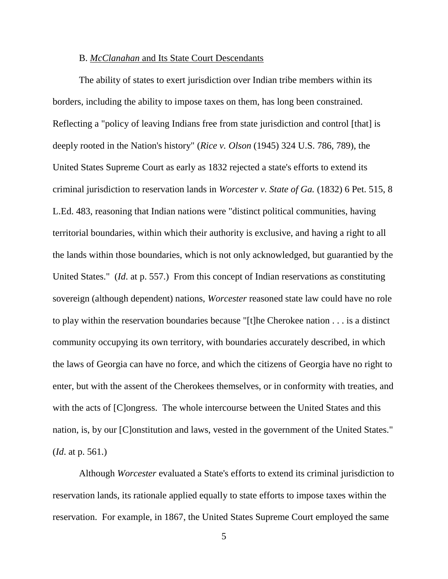#### B. *McClanahan* and Its State Court Descendants

The ability of states to exert jurisdiction over Indian tribe members within its borders, including the ability to impose taxes on them, has long been constrained. Reflecting a "policy of leaving Indians free from state jurisdiction and control [that] is deeply rooted in the Nation's history" (*Rice v. Olson* (1945) 324 U.S. 786, 789), the United States Supreme Court as early as 1832 rejected a state's efforts to extend its criminal jurisdiction to reservation lands in *Worcester v. State of Ga.* (1832) 6 Pet. 515, 8 L.Ed. 483, reasoning that Indian nations were "distinct political communities, having territorial boundaries, within which their authority is exclusive, and having a right to all the lands within those boundaries, which is not only acknowledged, but guarantied by the United States." (*Id*. at p. 557.) From this concept of Indian reservations as constituting sovereign (although dependent) nations, *Worcester* reasoned state law could have no role to play within the reservation boundaries because "[t]he Cherokee nation . . . is a distinct community occupying its own territory, with boundaries accurately described, in which the laws of Georgia can have no force, and which the citizens of Georgia have no right to enter, but with the assent of the Cherokees themselves, or in conformity with treaties, and with the acts of [C]ongress. The whole intercourse between the United States and this nation, is, by our [C]onstitution and laws, vested in the government of the United States." (*Id*. at p. 561.)

Although *Worcester* evaluated a State's efforts to extend its criminal jurisdiction to reservation lands, its rationale applied equally to state efforts to impose taxes within the reservation. For example, in 1867, the United States Supreme Court employed the same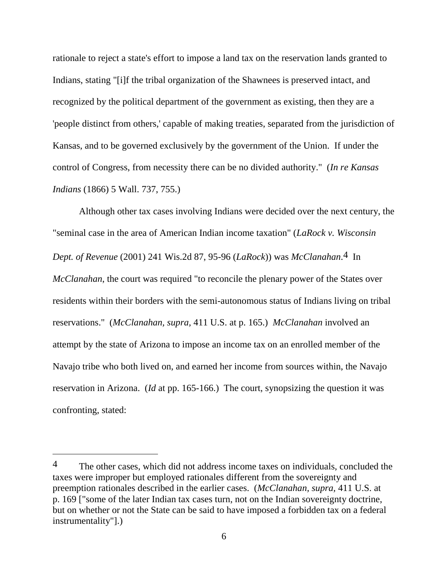rationale to reject a state's effort to impose a land tax on the reservation lands granted to Indians, stating "[i]f the tribal organization of the Shawnees is preserved intact, and recognized by the political department of the government as existing, then they are a 'people distinct from others,' capable of making treaties, separated from the jurisdiction of Kansas, and to be governed exclusively by the government of the Union. If under the control of Congress, from necessity there can be no divided authority." (*In re Kansas Indians* (1866) 5 Wall. 737, 755.)

Although other tax cases involving Indians were decided over the next century, the "seminal case in the area of American Indian income taxation" (*LaRock v. Wisconsin Dept. of Revenue* (2001) 241 Wis.2d 87, 95-96 (*LaRock*)) was *McClanahan*.4 In *McClanahan*, the court was required "to reconcile the plenary power of the States over residents within their borders with the semi-autonomous status of Indians living on tribal reservations." (*McClanahan, supra,* 411 U.S. at p. 165.) *McClanahan* involved an attempt by the state of Arizona to impose an income tax on an enrolled member of the Navajo tribe who both lived on, and earned her income from sources within, the Navajo reservation in Arizona. (*Id* at pp. 165-166.) The court, synopsizing the question it was confronting, stated:

<sup>&</sup>lt;sup>4</sup> The other cases, which did not address income taxes on individuals, concluded the taxes were improper but employed rationales different from the sovereignty and preemption rationales described in the earlier cases. (*McClanahan, supra,* 411 U.S. at p. 169 ["some of the later Indian tax cases turn, not on the Indian sovereignty doctrine, but on whether or not the State can be said to have imposed a forbidden tax on a federal instrumentality"].)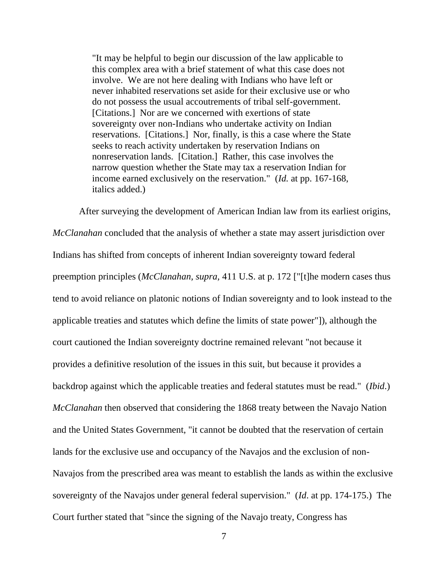"It may be helpful to begin our discussion of the law applicable to this complex area with a brief statement of what this case does not involve. We are not here dealing with Indians who have left or never inhabited reservations set aside for their exclusive use or who do not possess the usual accoutrements of tribal self-government. [Citations.] Nor are we concerned with exertions of state sovereignty over non-Indians who undertake activity on Indian reservations. [Citations.] Nor, finally, is this a case where the State seeks to reach activity undertaken by reservation Indians on nonreservation lands. [Citation.] Rather, this case involves the narrow question whether the State may tax a reservation Indian for income earned exclusively on the reservation." (*Id.* at pp. 167-168, italics added.)

After surveying the development of American Indian law from its earliest origins, *McClanahan* concluded that the analysis of whether a state may assert jurisdiction over Indians has shifted from concepts of inherent Indian sovereignty toward federal preemption principles (*McClanahan, supra,* 411 U.S. at p. 172 ["[t]he modern cases thus tend to avoid reliance on platonic notions of Indian sovereignty and to look instead to the applicable treaties and statutes which define the limits of state power"]), although the court cautioned the Indian sovereignty doctrine remained relevant "not because it provides a definitive resolution of the issues in this suit, but because it provides a backdrop against which the applicable treaties and federal statutes must be read." (*Ibid*.) *McClanahan* then observed that considering the 1868 treaty between the Navajo Nation and the United States Government, "it cannot be doubted that the reservation of certain lands for the exclusive use and occupancy of the Navajos and the exclusion of non-Navajos from the prescribed area was meant to establish the lands as within the exclusive sovereignty of the Navajos under general federal supervision." (*Id*. at pp. 174-175.) The Court further stated that "since the signing of the Navajo treaty, Congress has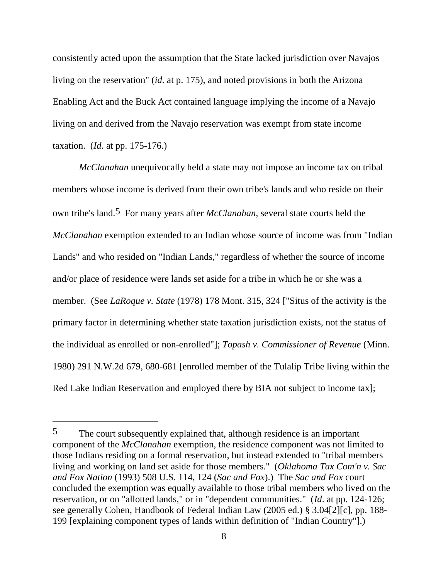consistently acted upon the assumption that the State lacked jurisdiction over Navajos living on the reservation" (*id*. at p. 175), and noted provisions in both the Arizona Enabling Act and the Buck Act contained language implying the income of a Navajo living on and derived from the Navajo reservation was exempt from state income taxation. (*Id*. at pp. 175-176.)

*McClanahan* unequivocally held a state may not impose an income tax on tribal members whose income is derived from their own tribe's lands and who reside on their own tribe's land.5 For many years after *McClanahan,* several state courts held the *McClanahan* exemption extended to an Indian whose source of income was from "Indian Lands" and who resided on "Indian Lands," regardless of whether the source of income and/or place of residence were lands set aside for a tribe in which he or she was a member. (See *LaRoque v. State* (1978) 178 Mont. 315, 324 ["Situs of the activity is the primary factor in determining whether state taxation jurisdiction exists, not the status of the individual as enrolled or non-enrolled"]; *Topash v. Commissioner of Revenue* (Minn. 1980) 291 N.W.2d 679, 680-681 [enrolled member of the Tulalip Tribe living within the Red Lake Indian Reservation and employed there by BIA not subject to income tax];

 $\overline{a}$ 

<sup>5</sup> The court subsequently explained that, although residence is an important component of the *McClanahan* exemption, the residence component was not limited to those Indians residing on a formal reservation, but instead extended to "tribal members living and working on land set aside for those members." (*Oklahoma Tax Com'n v. Sac and Fox Nation* (1993) 508 U.S. 114, 124 (*Sac and Fox*).) The *Sac and Fox* court concluded the exemption was equally available to those tribal members who lived on the reservation, or on "allotted lands," or in "dependent communities." (*Id*. at pp. 124-126; see generally Cohen, Handbook of Federal Indian Law (2005 ed.) § 3.04[2][c], pp. 188- 199 [explaining component types of lands within definition of "Indian Country"].)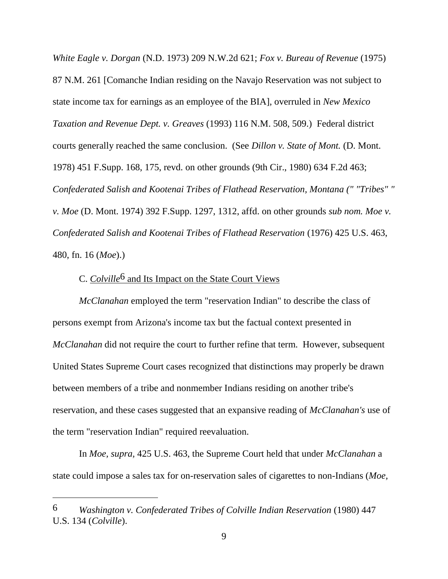*White Eagle v. Dorgan* (N.D. 1973) 209 N.W.2d 621; *Fox v. Bureau of Revenue* (1975) 87 N.M. 261 [Comanche Indian residing on the Navajo Reservation was not subject to state income tax for earnings as an employee of the BIA], overruled in *New Mexico Taxation and Revenue Dept. v. Greaves* (1993) 116 N.M. 508, 509.) Federal district courts generally reached the same conclusion. (See *Dillon v. State of Mont.* (D. Mont. 1978) 451 F.Supp. 168, 175, revd. on other grounds (9th Cir., 1980) 634 F.2d 463; *Confederated Salish and Kootenai Tribes of Flathead Reservation, Montana (" "Tribes" " v. Moe* (D. Mont. 1974) 392 F.Supp. 1297, 1312, affd. on other grounds *sub nom. Moe v. Confederated Salish and Kootenai Tribes of Flathead Reservation* (1976) 425 U.S. 463, 480, fn. 16 (*Moe*).)

### C. *Colville*6 and Its Impact on the State Court Views

*McClanahan* employed the term "reservation Indian" to describe the class of persons exempt from Arizona's income tax but the factual context presented in *McClanahan* did not require the court to further refine that term. However, subsequent United States Supreme Court cases recognized that distinctions may properly be drawn between members of a tribe and nonmember Indians residing on another tribe's reservation, and these cases suggested that an expansive reading of *McClanahan's* use of the term "reservation Indian" required reevaluation.

In *Moe, supra,* 425 U.S. 463, the Supreme Court held that under *McClanahan* a state could impose a sales tax for on-reservation sales of cigarettes to non-Indians (*Moe,*

 $\overline{a}$ 

<sup>6</sup> *Washington v. Confederated Tribes of Colville Indian Reservation* (1980) 447 U.S. 134 (*Colville*).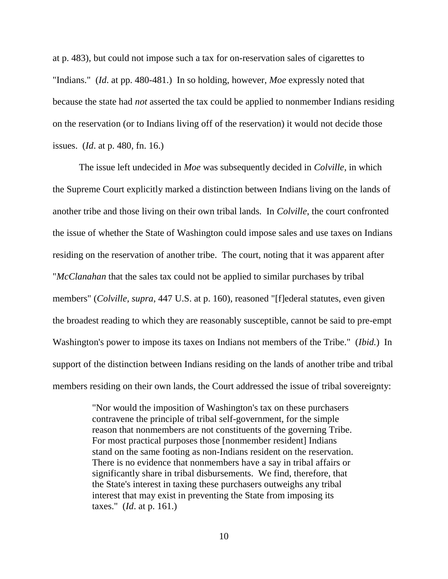at p. 483), but could not impose such a tax for on-reservation sales of cigarettes to "Indians." (*Id*. at pp. 480-481.) In so holding, however, *Moe* expressly noted that because the state had *not* asserted the tax could be applied to nonmember Indians residing on the reservation (or to Indians living off of the reservation) it would not decide those issues. (*Id*. at p. 480, fn. 16.)

The issue left undecided in *Moe* was subsequently decided in *Colville*, in which the Supreme Court explicitly marked a distinction between Indians living on the lands of another tribe and those living on their own tribal lands. In *Colville*, the court confronted the issue of whether the State of Washington could impose sales and use taxes on Indians residing on the reservation of another tribe. The court, noting that it was apparent after "*McClanahan* that the sales tax could not be applied to similar purchases by tribal members" (*Colville, supra,* 447 U.S. at p. 160), reasoned "[f]ederal statutes, even given the broadest reading to which they are reasonably susceptible, cannot be said to pre-empt Washington's power to impose its taxes on Indians not members of the Tribe." (*Ibid.*) In support of the distinction between Indians residing on the lands of another tribe and tribal members residing on their own lands, the Court addressed the issue of tribal sovereignty:

> "Nor would the imposition of Washington's tax on these purchasers contravene the principle of tribal self-government, for the simple reason that nonmembers are not constituents of the governing Tribe. For most practical purposes those [nonmember resident] Indians stand on the same footing as non-Indians resident on the reservation. There is no evidence that nonmembers have a say in tribal affairs or significantly share in tribal disbursements. We find, therefore, that the State's interest in taxing these purchasers outweighs any tribal interest that may exist in preventing the State from imposing its taxes." (*Id*. at p. 161.)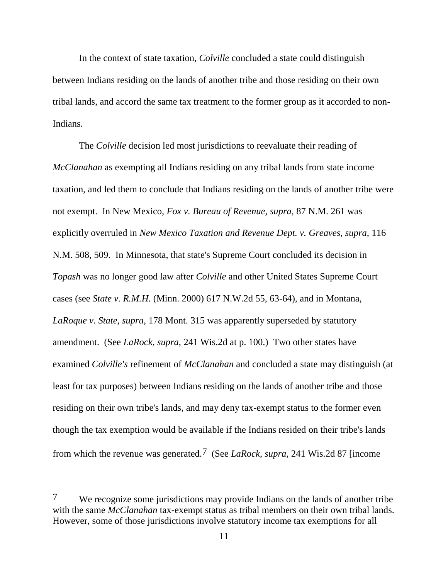In the context of state taxation, *Colville* concluded a state could distinguish between Indians residing on the lands of another tribe and those residing on their own tribal lands, and accord the same tax treatment to the former group as it accorded to non-Indians.

The *Colville* decision led most jurisdictions to reevaluate their reading of *McClanahan* as exempting all Indians residing on any tribal lands from state income taxation, and led them to conclude that Indians residing on the lands of another tribe were not exempt. In New Mexico, *Fox v. Bureau of Revenue, supra,* 87 N.M. 261 was explicitly overruled in *New Mexico Taxation and Revenue Dept. v. Greaves, supra,* 116 N.M. 508, 509. In Minnesota, that state's Supreme Court concluded its decision in *Topash* was no longer good law after *Colville* and other United States Supreme Court cases (see *State v. R.M.H.* (Minn. 2000) 617 N.W.2d 55, 63-64), and in Montana, *LaRoque v. State, supra,* 178 Mont. 315 was apparently superseded by statutory amendment. (See *LaRock, supra,* 241 Wis.2d at p. 100.) Two other states have examined *Colville's* refinement of *McClanahan* and concluded a state may distinguish (at least for tax purposes) between Indians residing on the lands of another tribe and those residing on their own tribe's lands, and may deny tax-exempt status to the former even though the tax exemption would be available if the Indians resided on their tribe's lands from which the revenue was generated.7 (See *LaRock, supra,* 241 Wis.2d 87 [income

<sup>7</sup> We recognize some jurisdictions may provide Indians on the lands of another tribe with the same *McClanahan* tax-exempt status as tribal members on their own tribal lands. However, some of those jurisdictions involve statutory income tax exemptions for all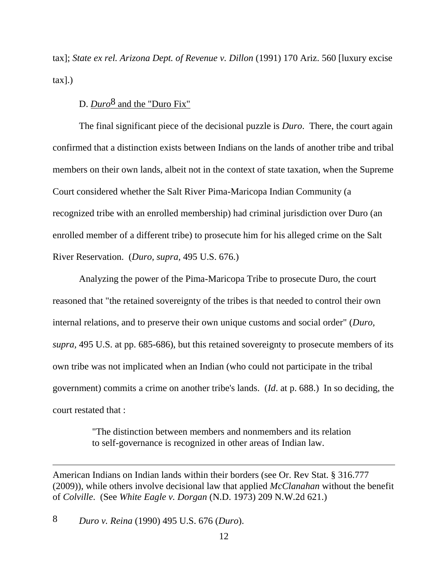tax]; *State ex rel. Arizona Dept. of Revenue v. Dillon* (1991) 170 Ariz. 560 [luxury excise tax].)

# D. *Duro*8 and the "Duro Fix"

The final significant piece of the decisional puzzle is *Duro*. There, the court again confirmed that a distinction exists between Indians on the lands of another tribe and tribal members on their own lands, albeit not in the context of state taxation, when the Supreme Court considered whether the Salt River Pima-Maricopa Indian Community (a recognized tribe with an enrolled membership) had criminal jurisdiction over Duro (an enrolled member of a different tribe) to prosecute him for his alleged crime on the Salt River Reservation. (*Duro, supra,* 495 U.S. 676.)

Analyzing the power of the Pima-Maricopa Tribe to prosecute Duro, the court reasoned that "the retained sovereignty of the tribes is that needed to control their own internal relations, and to preserve their own unique customs and social order" (*Duro, supra,* 495 U.S. at pp. 685-686), but this retained sovereignty to prosecute members of its own tribe was not implicated when an Indian (who could not participate in the tribal government) commits a crime on another tribe's lands. (*Id*. at p. 688.) In so deciding, the court restated that :

> "The distinction between members and nonmembers and its relation to self-governance is recognized in other areas of Indian law.

American Indians on Indian lands within their borders (see Or. Rev Stat. § 316.777 (2009)), while others involve decisional law that applied *McClanahan* without the benefit of *Colville*. (See *White Eagle v. Dorgan* (N.D. 1973) 209 N.W.2d 621.)

8 *Duro v. Reina* (1990) 495 U.S. 676 (*Duro*).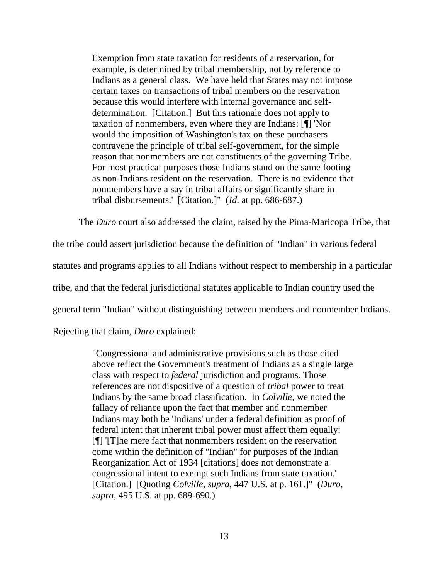Exemption from state taxation for residents of a reservation, for example, is determined by tribal membership, not by reference to Indians as a general class. We have held that States may not impose certain taxes on transactions of tribal members on the reservation because this would interfere with internal governance and selfdetermination. [Citation.] But this rationale does not apply to taxation of nonmembers, even where they are Indians: [¶] 'Nor would the imposition of Washington's tax on these purchasers contravene the principle of tribal self-government, for the simple reason that nonmembers are not constituents of the governing Tribe. For most practical purposes those Indians stand on the same footing as non-Indians resident on the reservation. There is no evidence that nonmembers have a say in tribal affairs or significantly share in tribal disbursements.' [Citation.]" (*Id*. at pp. 686-687.)

The *Duro* court also addressed the claim, raised by the Pima-Maricopa Tribe, that

the tribe could assert jurisdiction because the definition of "Indian" in various federal

statutes and programs applies to all Indians without respect to membership in a particular

tribe, and that the federal jurisdictional statutes applicable to Indian country used the

general term "Indian" without distinguishing between members and nonmember Indians.

Rejecting that claim, *Duro* explained:

"Congressional and administrative provisions such as those cited above reflect the Government's treatment of Indians as a single large class with respect to *federal* jurisdiction and programs. Those references are not dispositive of a question of *tribal* power to treat Indians by the same broad classification. In *Colville,* we noted the fallacy of reliance upon the fact that member and nonmember Indians may both be 'Indians' under a federal definition as proof of federal intent that inherent tribal power must affect them equally: [¶] '[T]he mere fact that nonmembers resident on the reservation come within the definition of "Indian" for purposes of the Indian Reorganization Act of 1934 [citations] does not demonstrate a congressional intent to exempt such Indians from state taxation.' [Citation.] [Quoting *Colville, supra*, 447 U.S. at p. 161.]" (*Duro, supra*, 495 U.S. at pp. 689-690.)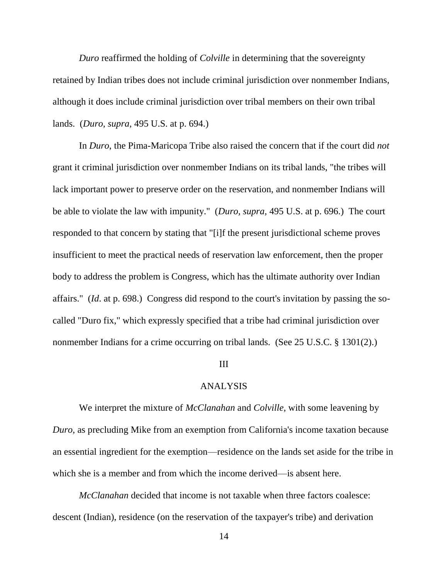*Duro* reaffirmed the holding of *Colville* in determining that the sovereignty retained by Indian tribes does not include criminal jurisdiction over nonmember Indians, although it does include criminal jurisdiction over tribal members on their own tribal lands. (*Duro, supra,* 495 U.S. at p. 694.)

In *Duro*, the Pima-Maricopa Tribe also raised the concern that if the court did *not* grant it criminal jurisdiction over nonmember Indians on its tribal lands, "the tribes will lack important power to preserve order on the reservation, and nonmember Indians will be able to violate the law with impunity." (*Duro, supra,* 495 U.S. at p. 696.) The court responded to that concern by stating that "[i]f the present jurisdictional scheme proves insufficient to meet the practical needs of reservation law enforcement, then the proper body to address the problem is Congress, which has the ultimate authority over Indian affairs." (*Id*. at p. 698.) Congress did respond to the court's invitation by passing the socalled "Duro fix," which expressly specified that a tribe had criminal jurisdiction over nonmember Indians for a crime occurring on tribal lands. (See 25 U.S.C. § 1301(2).)

#### III

#### ANALYSIS

We interpret the mixture of *McClanahan* and *Colville*, with some leavening by *Duro*, as precluding Mike from an exemption from California's income taxation because an essential ingredient for the exemption—residence on the lands set aside for the tribe in which she is a member and from which the income derived—is absent here.

*McClanahan* decided that income is not taxable when three factors coalesce: descent (Indian), residence (on the reservation of the taxpayer's tribe) and derivation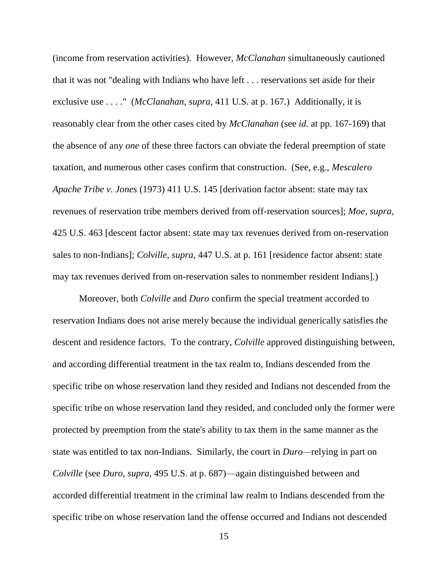(income from reservation activities). However, *McClanahan* simultaneously cautioned that it was not "dealing with Indians who have left . . . reservations set aside for their exclusive use . . . ." (*McClanahan*, *supra*, 411 U.S. at p. 167.) Additionally, it is reasonably clear from the other cases cited by *McClanahan* (see *id.* at pp. 167-169) that the absence of any *one* of these three factors can obviate the federal preemption of state taxation, and numerous other cases confirm that construction. (See, e.g., *Mescalero Apache Tribe v. Jones* (1973) 411 U.S. 145 [derivation factor absent: state may tax revenues of reservation tribe members derived from off-reservation sources]; *Moe, supra,* 425 U.S. 463 [descent factor absent: state may tax revenues derived from on-reservation sales to non-Indians]; *Colville, supra*, 447 U.S. at p. 161 [residence factor absent: state may tax revenues derived from on-reservation sales to nonmember resident Indians].)

Moreover, both *Colville* and *Duro* confirm the special treatment accorded to reservation Indians does not arise merely because the individual generically satisfies the descent and residence factors. To the contrary, *Colville* approved distinguishing between, and according differential treatment in the tax realm to, Indians descended from the specific tribe on whose reservation land they resided and Indians not descended from the specific tribe on whose reservation land they resided, and concluded only the former were protected by preemption from the state's ability to tax them in the same manner as the state was entitled to tax non-Indians. Similarly, the court in *Duro—*relying in part on *Colville* (see *Duro*, *supra*, 495 U.S. at p. 687)—again distinguished between and accorded differential treatment in the criminal law realm to Indians descended from the specific tribe on whose reservation land the offense occurred and Indians not descended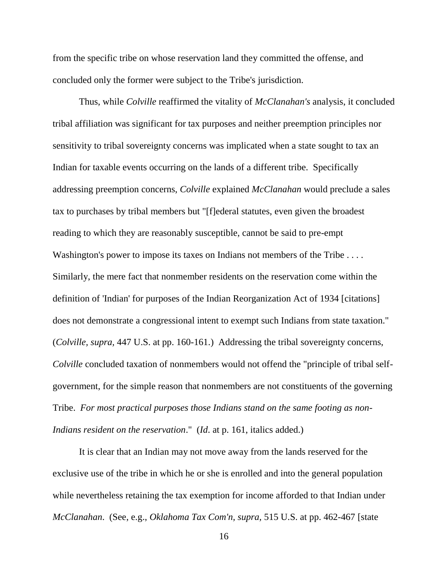from the specific tribe on whose reservation land they committed the offense, and concluded only the former were subject to the Tribe's jurisdiction.

Thus, while *Colville* reaffirmed the vitality of *McClanahan's* analysis, it concluded tribal affiliation was significant for tax purposes and neither preemption principles nor sensitivity to tribal sovereignty concerns was implicated when a state sought to tax an Indian for taxable events occurring on the lands of a different tribe. Specifically addressing preemption concerns, *Colville* explained *McClanahan* would preclude a sales tax to purchases by tribal members but "[f]ederal statutes, even given the broadest reading to which they are reasonably susceptible, cannot be said to pre-empt Washington's power to impose its taxes on Indians not members of the Tribe .... Similarly, the mere fact that nonmember residents on the reservation come within the definition of 'Indian' for purposes of the Indian Reorganization Act of 1934 [citations] does not demonstrate a congressional intent to exempt such Indians from state taxation." (*Colville, supra,* 447 U.S. at pp. 160-161.) Addressing the tribal sovereignty concerns, *Colville* concluded taxation of nonmembers would not offend the "principle of tribal selfgovernment, for the simple reason that nonmembers are not constituents of the governing Tribe. *For most practical purposes those Indians stand on the same footing as non-Indians resident on the reservation*." (*Id*. at p. 161, italics added.)

It is clear that an Indian may not move away from the lands reserved for the exclusive use of the tribe in which he or she is enrolled and into the general population while nevertheless retaining the tax exemption for income afforded to that Indian under *McClanahan*. (See, e.g., *Oklahoma Tax Com'n, supra,* 515 U.S. at pp. 462-467 [state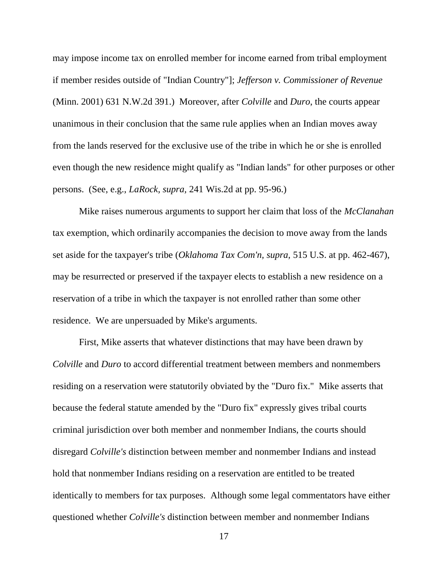may impose income tax on enrolled member for income earned from tribal employment if member resides outside of "Indian Country"]; *Jefferson v. Commissioner of Revenue* (Minn. 2001) 631 N.W.2d 391.) Moreover, after *Colville* and *Duro*, the courts appear unanimous in their conclusion that the same rule applies when an Indian moves away from the lands reserved for the exclusive use of the tribe in which he or she is enrolled even though the new residence might qualify as "Indian lands" for other purposes or other persons. (See, e.g., *LaRock, supra,* 241 Wis.2d at pp. 95-96.)

Mike raises numerous arguments to support her claim that loss of the *McClanahan* tax exemption, which ordinarily accompanies the decision to move away from the lands set aside for the taxpayer's tribe (*Oklahoma Tax Com'n, supra,* 515 U.S. at pp. 462-467), may be resurrected or preserved if the taxpayer elects to establish a new residence on a reservation of a tribe in which the taxpayer is not enrolled rather than some other residence. We are unpersuaded by Mike's arguments.

First, Mike asserts that whatever distinctions that may have been drawn by *Colville* and *Duro* to accord differential treatment between members and nonmembers residing on a reservation were statutorily obviated by the "Duro fix." Mike asserts that because the federal statute amended by the "Duro fix" expressly gives tribal courts criminal jurisdiction over both member and nonmember Indians, the courts should disregard *Colville's* distinction between member and nonmember Indians and instead hold that nonmember Indians residing on a reservation are entitled to be treated identically to members for tax purposes. Although some legal commentators have either questioned whether *Colville's* distinction between member and nonmember Indians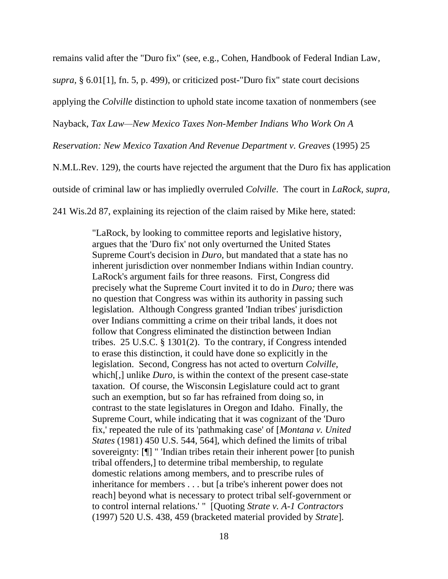remains valid after the "Duro fix" (see, e.g., Cohen, Handbook of Federal Indian Law*, supra,* § 6.01[1], fn. 5, p. 499), or criticized post-"Duro fix" state court decisions applying the *Colville* distinction to uphold state income taxation of nonmembers (see Nayback, *Tax Law—New Mexico Taxes Non-Member Indians Who Work On A Reservation: New Mexico Taxation And Revenue Department v. Greaves* (1995) 25 N.M.L.Rev. 129), the courts have rejected the argument that the Duro fix has application outside of criminal law or has impliedly overruled *Colville*. The court in *LaRock, supra,*  241 Wis.2d 87, explaining its rejection of the claim raised by Mike here, stated:

> "LaRock, by looking to committee reports and legislative history, argues that the 'Duro fix' not only overturned the United States Supreme Court's decision in *Duro,* but mandated that a state has no inherent jurisdiction over nonmember Indians within Indian country. LaRock's argument fails for three reasons. First, Congress did precisely what the Supreme Court invited it to do in *Duro;* there was no question that Congress was within its authority in passing such legislation. Although Congress granted 'Indian tribes' jurisdiction over Indians committing a crime on their tribal lands, it does not follow that Congress eliminated the distinction between Indian tribes. 25 U.S.C. § 1301(2). To the contrary, if Congress intended to erase this distinction, it could have done so explicitly in the legislation. Second, Congress has not acted to overturn *Colville,* which[,] unlike *Duro,* is within the context of the present case-state taxation. Of course, the Wisconsin Legislature could act to grant such an exemption, but so far has refrained from doing so, in contrast to the state legislatures in Oregon and Idaho. Finally, the Supreme Court, while indicating that it was cognizant of the 'Duro fix,' repeated the rule of its 'pathmaking case' of [*Montana v. United States* (1981) 450 U.S. 544, 564], which defined the limits of tribal sovereignty: [¶] " 'Indian tribes retain their inherent power [to punish tribal offenders,] to determine tribal membership, to regulate domestic relations among members, and to prescribe rules of inheritance for members . . . but [a tribe's inherent power does not reach] beyond what is necessary to protect tribal self-government or to control internal relations.' " [Quoting *Strate v. A-1 Contractors* (1997) 520 U.S. 438, 459 (bracketed material provided by *Strate*].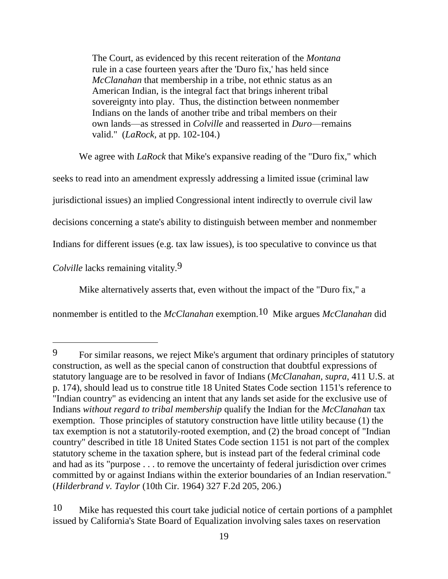The Court, as evidenced by this recent reiteration of the *Montana* rule in a case fourteen years after the 'Duro fix,' has held since *McClanahan* that membership in a tribe, not ethnic status as an American Indian, is the integral fact that brings inherent tribal sovereignty into play. Thus, the distinction between nonmember Indians on the lands of another tribe and tribal members on their own lands—as stressed in *Colville* and reasserted in *Duro*—remains valid." (*LaRock,* at pp. 102-104.)

We agree with *LaRock* that Mike's expansive reading of the "Duro fix," which seeks to read into an amendment expressly addressing a limited issue (criminal law jurisdictional issues) an implied Congressional intent indirectly to overrule civil law decisions concerning a state's ability to distinguish between member and nonmember Indians for different issues (e.g. tax law issues), is too speculative to convince us that *Colville* lacks remaining vitality.<sup>9</sup>

Mike alternatively asserts that, even without the impact of the "Duro fix," a

nonmember is entitled to the *McClanahan* exemption.10 Mike argues *McClanahan* did

 $\overline{a}$ 

10 Mike has requested this court take judicial notice of certain portions of a pamphlet issued by California's State Board of Equalization involving sales taxes on reservation

<sup>9</sup> For similar reasons, we reject Mike's argument that ordinary principles of statutory construction, as well as the special canon of construction that doubtful expressions of statutory language are to be resolved in favor of Indians (*McClanahan, supra*, 411 U.S. at p. 174), should lead us to construe title 18 United States Code section 1151's reference to "Indian country" as evidencing an intent that any lands set aside for the exclusive use of Indians *without regard to tribal membership* qualify the Indian for the *McClanahan* tax exemption. Those principles of statutory construction have little utility because (1) the tax exemption is not a statutorily-rooted exemption, and (2) the broad concept of "Indian country" described in title 18 United States Code section 1151 is not part of the complex statutory scheme in the taxation sphere, but is instead part of the federal criminal code and had as its "purpose . . . to remove the uncertainty of federal jurisdiction over crimes committed by or against Indians within the exterior boundaries of an Indian reservation." (*Hilderbrand v. Taylor* (10th Cir. 1964) 327 F.2d 205, 206.)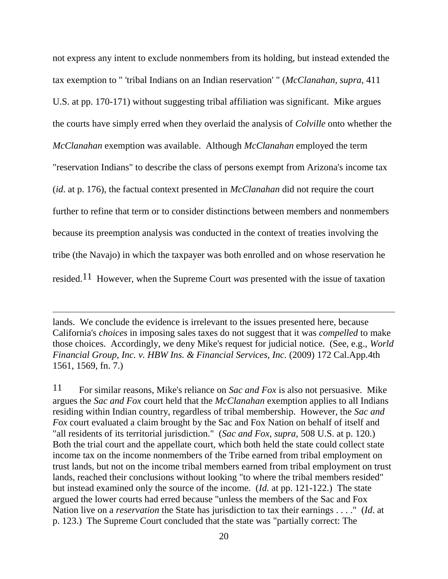not express any intent to exclude nonmembers from its holding, but instead extended the tax exemption to " 'tribal Indians on an Indian reservation' " (*McClanahan, supra,* 411 U.S. at pp. 170-171) without suggesting tribal affiliation was significant. Mike argues the courts have simply erred when they overlaid the analysis of *Colville* onto whether the *McClanahan* exemption was available. Although *McClanahan* employed the term "reservation Indians" to describe the class of persons exempt from Arizona's income tax (*id*. at p. 176), the factual context presented in *McClanahan* did not require the court further to refine that term or to consider distinctions between members and nonmembers because its preemption analysis was conducted in the context of treaties involving the tribe (the Navajo) in which the taxpayer was both enrolled and on whose reservation he resided.11 However, when the Supreme Court *was* presented with the issue of taxation

11 For similar reasons, Mike's reliance on *Sac and Fox* is also not persuasive. Mike argues the *Sac and Fox* court held that the *McClanahan* exemption applies to all Indians residing within Indian country, regardless of tribal membership. However, the *Sac and Fox* court evaluated a claim brought by the Sac and Fox Nation on behalf of itself and "all residents of its territorial jurisdiction." (*Sac and Fox, supra,* 508 U.S. at p. 120.) Both the trial court and the appellate court, which both held the state could collect state income tax on the income nonmembers of the Tribe earned from tribal employment on trust lands, but not on the income tribal members earned from tribal employment on trust lands, reached their conclusions without looking "to where the tribal members resided" but instead examined only the source of the income. (*Id.* at pp. 121-122.) The state argued the lower courts had erred because "unless the members of the Sac and Fox Nation live on a *reservation* the State has jurisdiction to tax their earnings . . . ." (*Id*. at p. 123.) The Supreme Court concluded that the state was "partially correct: The

lands. We conclude the evidence is irrelevant to the issues presented here, because California's *choices* in imposing sales taxes do not suggest that it was *compelled* to make those choices. Accordingly, we deny Mike's request for judicial notice. (See, e.g., *World Financial Group, Inc. v. HBW Ins. & Financial Services, Inc.* (2009) 172 Cal.App.4th 1561, 1569, fn. 7.)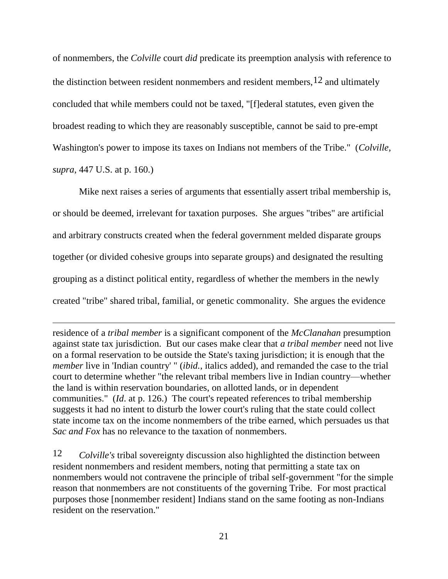of nonmembers, the *Colville* court *did* predicate its preemption analysis with reference to the distinction between resident nonmembers and resident members,  $12$  and ultimately concluded that while members could not be taxed, "[f]ederal statutes, even given the broadest reading to which they are reasonably susceptible, cannot be said to pre-empt Washington's power to impose its taxes on Indians not members of the Tribe." (*Colville, supra*, 447 U.S. at p. 160.)

Mike next raises a series of arguments that essentially assert tribal membership is, or should be deemed, irrelevant for taxation purposes. She argues "tribes" are artificial and arbitrary constructs created when the federal government melded disparate groups together (or divided cohesive groups into separate groups) and designated the resulting grouping as a distinct political entity, regardless of whether the members in the newly created "tribe" shared tribal, familial, or genetic commonality. She argues the evidence

residence of a *tribal member* is a significant component of the *McClanahan* presumption against state tax jurisdiction. But our cases make clear that *a tribal member* need not live on a formal reservation to be outside the State's taxing jurisdiction; it is enough that the *member* live in 'Indian country' " (*ibid.*, italics added), and remanded the case to the trial court to determine whether "the relevant tribal members live in Indian country—whether the land is within reservation boundaries, on allotted lands, or in dependent communities." (*Id*. at p. 126.) The court's repeated references to tribal membership suggests it had no intent to disturb the lower court's ruling that the state could collect state income tax on the income nonmembers of the tribe earned, which persuades us that *Sac and Fox* has no relevance to the taxation of nonmembers.

 $\overline{a}$ 

12 *Colville's* tribal sovereignty discussion also highlighted the distinction between resident nonmembers and resident members, noting that permitting a state tax on nonmembers would not contravene the principle of tribal self-government "for the simple reason that nonmembers are not constituents of the governing Tribe. For most practical purposes those [nonmember resident] Indians stand on the same footing as non-Indians resident on the reservation."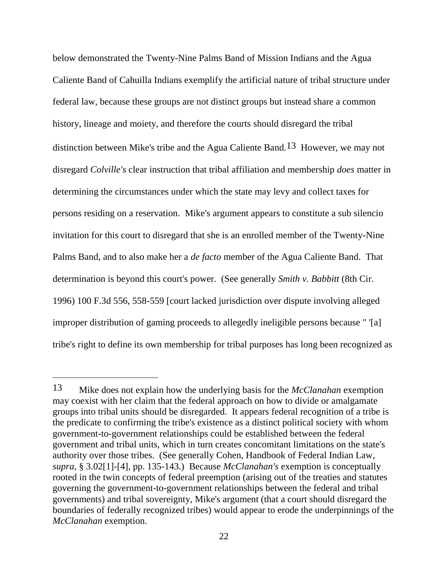below demonstrated the Twenty-Nine Palms Band of Mission Indians and the Agua Caliente Band of Cahuilla Indians exemplify the artificial nature of tribal structure under federal law, because these groups are not distinct groups but instead share a common history, lineage and moiety, and therefore the courts should disregard the tribal distinction between Mike's tribe and the Agua Caliente Band.13 However, we may not disregard *Colville's* clear instruction that tribal affiliation and membership *does* matter in determining the circumstances under which the state may levy and collect taxes for persons residing on a reservation. Mike's argument appears to constitute a sub silencio invitation for this court to disregard that she is an enrolled member of the Twenty-Nine Palms Band, and to also make her a *de facto* member of the Agua Caliente Band. That determination is beyond this court's power. (See generally *Smith v. Babbitt* (8th Cir. 1996) 100 F.3d 556, 558-559 [court lacked jurisdiction over dispute involving alleged improper distribution of gaming proceeds to allegedly ineligible persons because " '[a] tribe's right to define its own membership for tribal purposes has long been recognized as

<sup>13</sup> Mike does not explain how the underlying basis for the *McClanahan* exemption may coexist with her claim that the federal approach on how to divide or amalgamate groups into tribal units should be disregarded. It appears federal recognition of a tribe is the predicate to confirming the tribe's existence as a distinct political society with whom government-to-government relationships could be established between the federal government and tribal units, which in turn creates concomitant limitations on the state's authority over those tribes. (See generally Cohen, Handbook of Federal Indian Law*, supra,* § 3.02[1]-[4], pp. 135-143.) Because *McClanahan's* exemption is conceptually rooted in the twin concepts of federal preemption (arising out of the treaties and statutes governing the government-to-government relationships between the federal and tribal governments) and tribal sovereignty, Mike's argument (that a court should disregard the boundaries of federally recognized tribes) would appear to erode the underpinnings of the *McClanahan* exemption.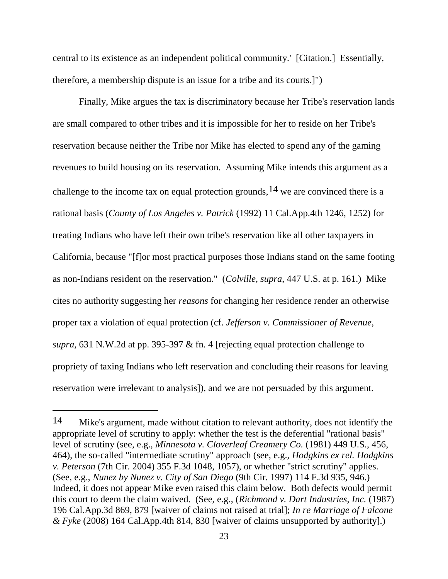central to its existence as an independent political community.' [Citation.] Essentially, therefore, a membership dispute is an issue for a tribe and its courts.]")

Finally, Mike argues the tax is discriminatory because her Tribe's reservation lands are small compared to other tribes and it is impossible for her to reside on her Tribe's reservation because neither the Tribe nor Mike has elected to spend any of the gaming revenues to build housing on its reservation. Assuming Mike intends this argument as a challenge to the income tax on equal protection grounds,  $14$  we are convinced there is a rational basis (*County of Los Angeles v. Patrick* (1992) 11 Cal.App.4th 1246, 1252) for treating Indians who have left their own tribe's reservation like all other taxpayers in California, because "[f]or most practical purposes those Indians stand on the same footing as non-Indians resident on the reservation." (*Colville, supra*, 447 U.S. at p. 161.) Mike cites no authority suggesting her *reasons* for changing her residence render an otherwise proper tax a violation of equal protection (cf. *Jefferson v. Commissioner of Revenue, supra,* 631 N.W.2d at pp. 395-397 & fn. 4 [rejecting equal protection challenge to propriety of taxing Indians who left reservation and concluding their reasons for leaving reservation were irrelevant to analysis]), and we are not persuaded by this argument.

 $\overline{a}$ 

<sup>14</sup> Mike's argument, made without citation to relevant authority, does not identify the appropriate level of scrutiny to apply: whether the test is the deferential "rational basis" level of scrutiny (see, e.g., *Minnesota v. Cloverleaf Creamery Co.* (1981) 449 U.S., 456, 464), the so-called "intermediate scrutiny" approach (see, e.g., *Hodgkins ex rel. Hodgkins v. Peterson* (7th Cir. 2004) 355 F.3d 1048, 1057), or whether "strict scrutiny" applies. (See, e.g., *Nunez by Nunez v. City of San Diego* (9th Cir. 1997) 114 F.3d 935, 946.) Indeed, it does not appear Mike even raised this claim below. Both defects would permit this court to deem the claim waived. (See, e.g., (*Richmond v. Dart Industries, Inc.* (1987) 196 Cal.App.3d 869, 879 [waiver of claims not raised at trial]; *In re Marriage of Falcone & Fyke* (2008) 164 Cal.App.4th 814, 830 [waiver of claims unsupported by authority].)